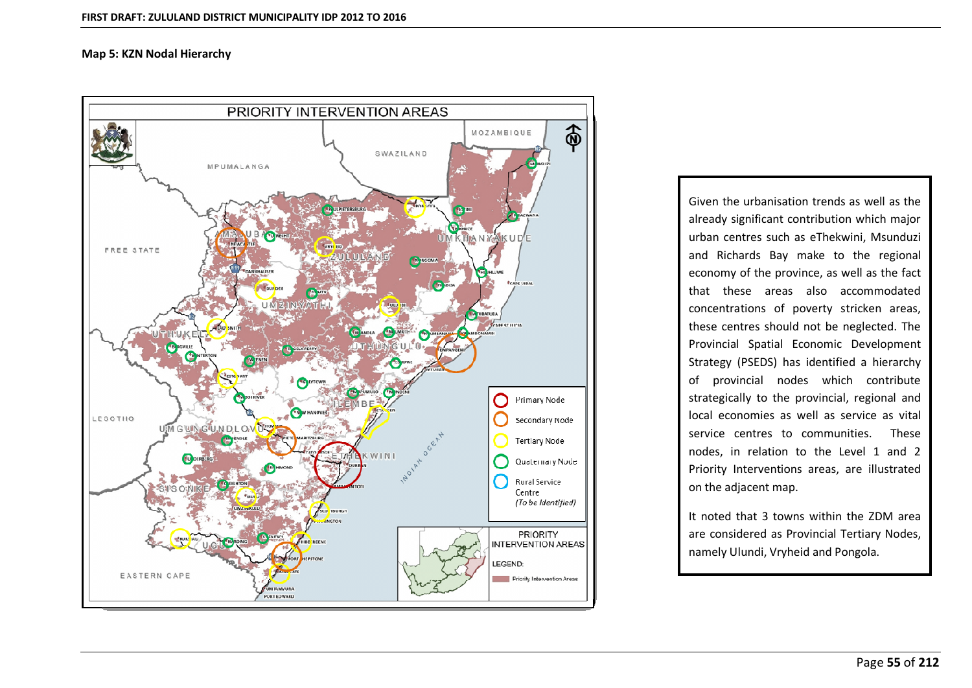

 the urbanisation trends as well as the significant contribution which major and the significant contribution which major the urbanisation trends as well as the<br>
y significant contribution which major<br>
centres such as eThekwini, Msunduzi The urbanisation trends as well as the<br>Applishing as well as the<br>Applicant contribution which major<br>The regional Richards Bay make to the regional urbanisation trends as well as the<br>gnificant contribution which major<br>tres such as eThekwini, Msunduzi<br>ards Bay make to the regional<br>of the province, as well as the fact Given the urbanisation trends as well as the the urbanisation trends as well as the<br>y significant contribution which major<br>centres such as eThekwini, Msunduzi<br>ichards Bay make to the regional<br>my of the province, as well as the fact<br>these areas also accommodated cover the thou bation tends as wen as the<br>nt contribution which major<br>uch as eThekwini, Msunduzi<br>lay make to the regional<br>province, as well as the fact<br>eas also accommodated<br>of poverty stricken areas. urban centres such as eThekwini, Msunduzi The symmetric contribution which mayor<br>centres such as eThekwini, Msunduzi<br>ichards Bay make to the regional<br>my of the province, as well as the fact<br>these areas also accommodated<br>trations of poverty stricken areas,<br>centres and Richards Bay make to the regional Economic Chemin, Misamazzi<br>
Spatial Economic Development<br>
Spatial Economic Development and included bay make to the regional<br>economy of the province, as well as the fact<br>that these areas also accommodated<br>concentrations of poverty stricken areas,<br>these centres should not be neglected. The<br>Provincial Spatial  $\sum_{i=1}^{n}$ province, as well as the lact<br>these areas also accommodated<br>entrations of poverty stricken areas,<br>e centres should not be neglected. The<br>incial Spatial Economic Development<br>legy (PSEDS) has identified a hierarchy<br>provincia that these areas also accommodated<br>concentrations of poverty stricken areas, The proverty stricken areas,<br>a should not be neglected. The<br>patial Economic Development<br>EDS) has identified a hierarchy<br>al nodes which contribute<br>to the provincial, regional and these centres should not be neglected. The reations of poverty streach areas,<br>centres should not be neglected. The<br>ricial Spatial Economic Development<br>gy (PSEDS) has identified a hierarchy<br>rrovincial nodes which contribute<br>gically to the provincial, regional and<br>ec Provincial Spatial Economic Development In Spatial Economic Development<br>(PSEDS) has identified a hierarchy<br>incial nodes which contribute<br>ally to the provincial, regional and<br>nomies as well as service as vital<br>centres to communities. These Strategy (PSEDS) has identified a hierarchy<br>of provincial nodes which contribute<br>strategically to the provincial, regional and<br>local economies as well as service as vital<br>service centres to communities. These<br>nodes, in rel of provincial nodes which contribute vincial nodes which contribute<br>ally to the provincial, regional and<br>pnomies as well as service as vital<br>centres to communities. These<br>n relation to the Level 1 and 2<br>Interventions areas, are illustrated strategically to the provincial, regional and tegically to the provided increased<br>al economies as we<br>vice centres to complex increased<br>best in relation to<br>the adjacent map. local economies as well as service as vital cal economies as well as service as vital<br>rvice centres to communities. These<br>des, in relation to the Level 1 and 2<br>iority Interventions areas, are illustrated<br>the adjacent map.<br>noted that 3 towns within the ZDM area service centres to communities. service centres to communities. These<br>nodes, in relation to the Level 1 and 2<br>Priority Interventions areas, are illustrated<br>on the adjacent map.<br>It noted that 3 towns within the ZDM area<br>are considered as Provincial Tertia Priority Interventions areas, are illustrated<br>on the adjacent map.<br>It noted that 3 towns within the ZDM area<br>are considered as Provincial Tertiary Nodes,

economy

namely Ulundi, Vryheid and Pongola.